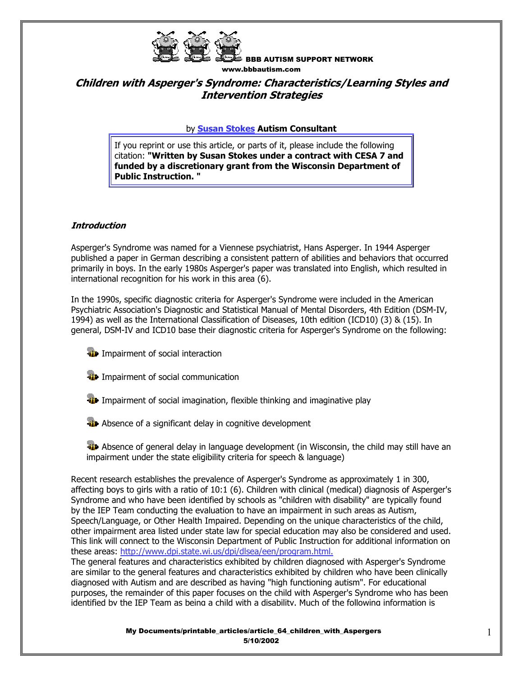

# **Children with Asperger's Syndrome: Characteristics/Learning Styles and Intervention Strategies**

### by **Susan Stokes Autism Consultant**

If you reprint or use this article, or parts of it, please include the following citation: **"Written by Susan Stokes under a contract with CESA 7 and funded by a discretionary grant from the Wisconsin Department of Public Instruction. "**

### **Introduction**

Asperger's Syndrome was named for a Viennese psychiatrist, Hans Asperger. In 1944 Asperger published a paper in German describing a consistent pattern of abilities and behaviors that occurred primarily in boys. In the early 1980s Asperger's paper was translated into English, which resulted in international recognition for his work in this area (6).

In the 1990s, specific diagnostic criteria for Asperger's Syndrome were included in the American Psychiatric Association's Diagnostic and Statistical Manual of Mental Disorders, 4th Edition (DSM-IV, 1994) as well as the International Classification of Diseases, 10th edition (ICD10) (3) & (15). In general, DSM-IV and ICD10 base their diagnostic criteria for Asperger's Syndrome on the following:

- **ID** Impairment of social interaction
- **ID** Impairment of social communication
- **I** Impairment of social imagination, flexible thinking and imaginative play
- **Absence of a significant delay in cognitive development**

**AD** Absence of general delay in language development (in Wisconsin, the child may still have an impairment under the state eligibility criteria for speech & language)

Recent research establishes the prevalence of Asperger's Syndrome as approximately 1 in 300, affecting boys to girls with a ratio of 10:1 (6). Children with clinical (medical) diagnosis of Asperger's Syndrome and who have been identified by schools as "children with disability" are typically found by the IEP Team conducting the evaluation to have an impairment in such areas as Autism, Speech/Language, or Other Health Impaired. Depending on the unique characteristics of the child, other impairment area listed under state law for special education may also be considered and used. This link will connect to the Wisconsin Department of Public Instruction for additional information on these areas: http://www.dpi.state.wi.us/dpi/dlsea/een/program.html.

The general features and characteristics exhibited by children diagnosed with Asperger's Syndrome are similar to the general features and characteristics exhibited by children who have been clinically diagnosed with Autism and are described as having "high functioning autism". For educational purposes, the remainder of this paper focuses on the child with Asperger's Syndrome who has been identified by the IEP Team as being a child with a disability. Much of the following information is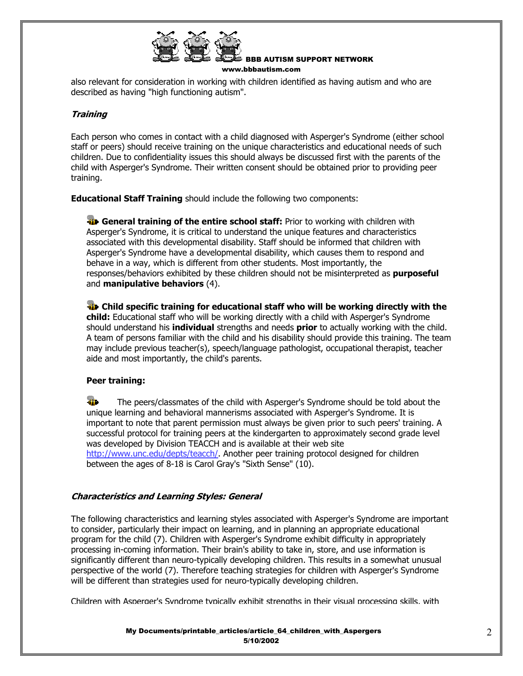

also relevant for consideration in working with children identified as having autism and who are described as having "high functioning autism".

### **Training**

Each person who comes in contact with a child diagnosed with Asperger's Syndrome (either school staff or peers) should receive training on the unique characteristics and educational needs of such children. Due to confidentiality issues this should always be discussed first with the parents of the child with Asperger's Syndrome. Their written consent should be obtained prior to providing peer training.

**Educational Staff Training** should include the following two components:

**General training of the entire school staff:** Prior to working with children with Asperger's Syndrome, it is critical to understand the unique features and characteristics associated with this developmental disability. Staff should be informed that children with Asperger's Syndrome have a developmental disability, which causes them to respond and behave in a way, which is different from other students. Most importantly, the responses/behaviors exhibited by these children should not be misinterpreted as **purposeful** and **manipulative behaviors** (4).

**Example 3 Child specific training for educational staff who will be working directly with the child:** Educational staff who will be working directly with a child with Asperger's Syndrome should understand his **individual** strengths and needs **prior** to actually working with the child. A team of persons familiar with the child and his disability should provide this training. The team may include previous teacher(s), speech/language pathologist, occupational therapist, teacher aide and most importantly, the child's parents.

### **Peer training:**

Y. The peers/classmates of the child with Asperger's Syndrome should be told about the unique learning and behavioral mannerisms associated with Asperger's Syndrome. It is important to note that parent permission must always be given prior to such peers' training. A successful protocol for training peers at the kindergarten to approximately second grade level was developed by Division TEACCH and is available at their web site http://www.unc.edu/depts/teacch/. Another peer training protocol designed for children between the ages of 8-18 is Carol Gray's "Sixth Sense" (10).

### **Characteristics and Learning Styles: General**

The following characteristics and learning styles associated with Asperger's Syndrome are important to consider, particularly their impact on learning, and in planning an appropriate educational program for the child (7). Children with Asperger's Syndrome exhibit difficulty in appropriately processing in-coming information. Their brain's ability to take in, store, and use information is significantly different than neuro-typically developing children. This results in a somewhat unusual perspective of the world (7). Therefore teaching strategies for children with Asperger's Syndrome will be different than strategies used for neuro-typically developing children.

Children with Asperger's Syndrome typically exhibit strengths in their visual processing skills, with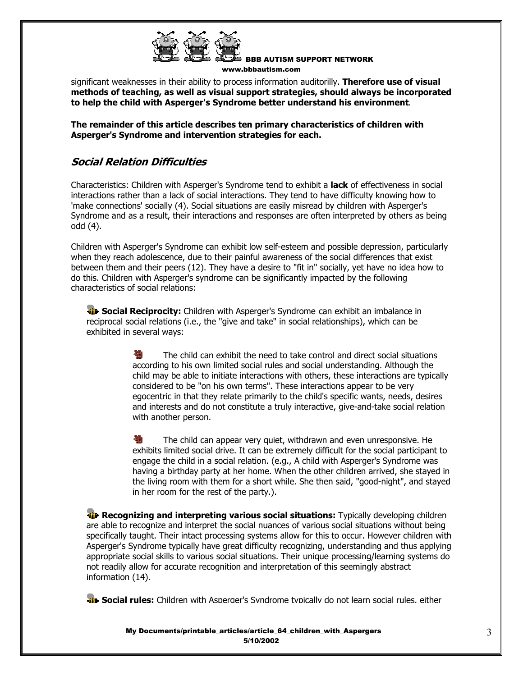

significant weaknesses in their ability to process information auditorilly. **Therefore use of visual methods of teaching, as well as visual support strategies, should always be incorporated to help the child with Asperger's Syndrome better understand his environment**.

**The remainder of this article describes ten primary characteristics of children with Asperger's Syndrome and intervention strategies for each.** 

# **Social Relation Difficulties**

Characteristics: Children with Asperger's Syndrome tend to exhibit a **lack** of effectiveness in social interactions rather than a lack of social interactions. They tend to have difficulty knowing how to 'make connections' socially (4). Social situations are easily misread by children with Asperger's Syndrome and as a result, their interactions and responses are often interpreted by others as being odd (4).

Children with Asperger's Syndrome can exhibit low self-esteem and possible depression, particularly when they reach adolescence, due to their painful awareness of the social differences that exist between them and their peers (12). They have a desire to "fit in" socially, yet have no idea how to do this. Children with Asperger's syndrome can be significantly impacted by the following characteristics of social relations:

**Social Reciprocity:** Children with Asperger's Syndrome can exhibit an imbalance in reciprocal social relations (i.e., the "give and take" in social relationships), which can be exhibited in several ways:

> The child can exhibit the need to take control and direct social situations according to his own limited social rules and social understanding. Although the child may be able to initiate interactions with others, these interactions are typically considered to be "on his own terms". These interactions appear to be very egocentric in that they relate primarily to the child's specific wants, needs, desires and interests and do not constitute a truly interactive, give-and-take social relation with another person.

> **到** The child can appear very quiet, withdrawn and even unresponsive. He exhibits limited social drive. It can be extremely difficult for the social participant to engage the child in a social relation. (e.g., A child with Asperger's Syndrome was having a birthday party at her home. When the other children arrived, she stayed in the living room with them for a short while. She then said, "good-night", and stayed in her room for the rest of the party.).

**Recognizing and interpreting various social situations:** Typically developing children are able to recognize and interpret the social nuances of various social situations without being specifically taught. Their intact processing systems allow for this to occur. However children with Asperger's Syndrome typically have great difficulty recognizing, understanding and thus applying appropriate social skills to various social situations. Their unique processing/learning systems do not readily allow for accurate recognition and interpretation of this seemingly abstract information (14).

**Social rules:** Children with Asperger's Syndrome typically do not learn social rules, either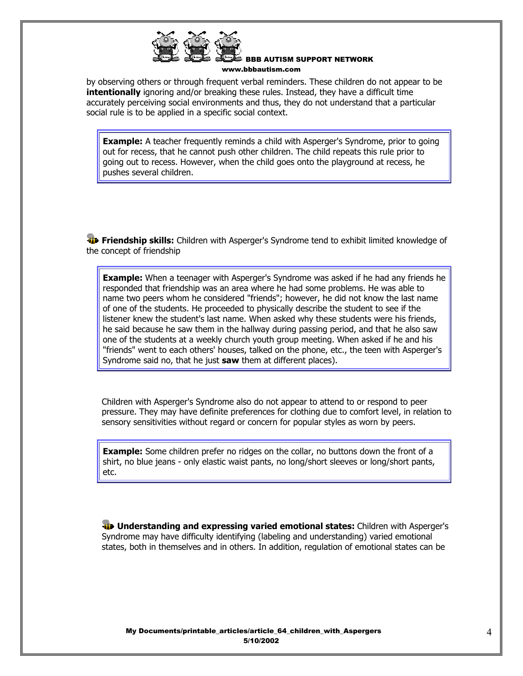

by observing others or through frequent verbal reminders. These children do not appear to be **intentionally** ignoring and/or breaking these rules. Instead, they have a difficult time accurately perceiving social environments and thus, they do not understand that a particular social rule is to be applied in a specific social context.

**Example:** A teacher frequently reminds a child with Asperger's Syndrome, prior to going out for recess, that he cannot push other children. The child repeats this rule prior to going out to recess. However, when the child goes onto the playground at recess, he pushes several children.

**Friendship skills:** Children with Asperger's Syndrome tend to exhibit limited knowledge of the concept of friendship

**Example:** When a teenager with Asperger's Syndrome was asked if he had any friends he responded that friendship was an area where he had some problems. He was able to name two peers whom he considered "friends"; however, he did not know the last name of one of the students. He proceeded to physically describe the student to see if the listener knew the student's last name. When asked why these students were his friends, he said because he saw them in the hallway during passing period, and that he also saw one of the students at a weekly church youth group meeting. When asked if he and his "friends" went to each others' houses, talked on the phone, etc., the teen with Asperger's Syndrome said no, that he just **saw** them at different places).

Children with Asperger's Syndrome also do not appear to attend to or respond to peer pressure. They may have definite preferences for clothing due to comfort level, in relation to sensory sensitivities without regard or concern for popular styles as worn by peers.

**Example:** Some children prefer no ridges on the collar, no buttons down the front of a shirt, no blue jeans - only elastic waist pants, no long/short sleeves or long/short pants, etc.

**ID** Understanding and expressing varied emotional states: Children with Asperger's Syndrome may have difficulty identifying (labeling and understanding) varied emotional states, both in themselves and in others. In addition, regulation of emotional states can be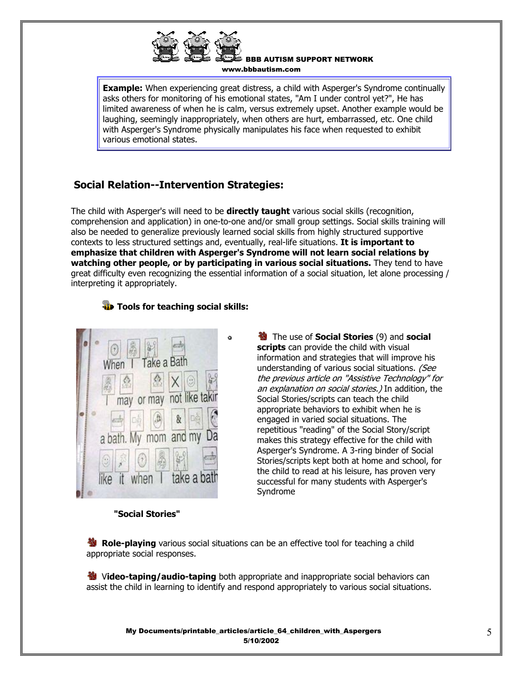

**Example:** When experiencing great distress, a child with Asperger's Syndrome continually asks others for monitoring of his emotional states, "Am I under control yet?", He has limited awareness of when he is calm, versus extremely upset. Another example would be laughing, seemingly inappropriately, when others are hurt, embarrassed, etc. One child with Asperger's Syndrome physically manipulates his face when requested to exhibit various emotional states.

# **Social Relation--Intervention Strategies:**

The child with Asperger's will need to be **directly taught** various social skills (recognition, comprehension and application) in one-to-one and/or small group settings. Social skills training will also be needed to generalize previously learned social skills from highly structured supportive contexts to less structured settings and, eventually, real-life situations. **It is important to emphasize that children with Asperger's Syndrome will not learn social relations by watching other people, or by participating in various social situations.** They tend to have great difficulty even recognizing the essential information of a social situation, let alone processing / interpreting it appropriately.

### **Tools for teaching social skills:**



 The use of **Social Stories** (9) and **social scripts** can provide the child with visual information and strategies that will improve his understanding of various social situations. (See the previous article on "Assistive Technology" for an explanation on social stories.) In addition, the Social Stories/scripts can teach the child appropriate behaviors to exhibit when he is engaged in varied social situations. The repetitious "reading" of the Social Story/script makes this strategy effective for the child with Asperger's Syndrome. A 3-ring binder of Social Stories/scripts kept both at home and school, for the child to read at his leisure, has proven very successful for many students with Asperger's Syndrome

### **"Social Stories"**

**B** Role-playing various social situations can be an effective tool for teaching a child appropriate social responses.

**卷** Video-taping/audio-taping both appropriate and inappropriate social behaviors can assist the child in learning to identify and respond appropriately to various social situations.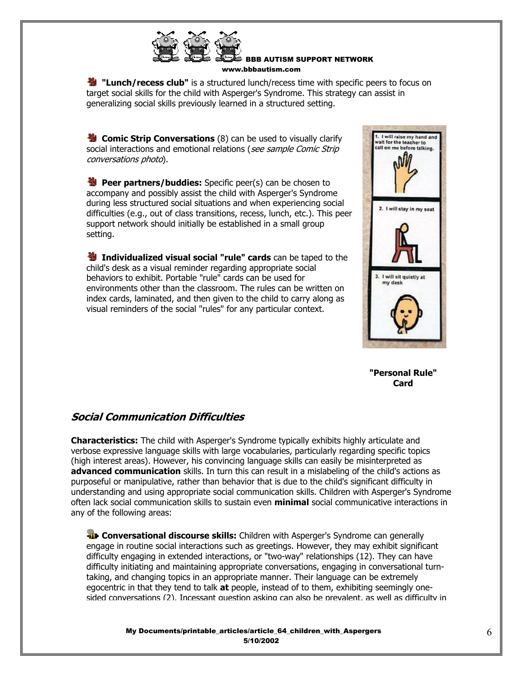

**19 "Lunch/recess club"** is a structured lunch/recess time with specific peers to focus on target social skills for the child with Asperger's Syndrome. This strategy can assist in generalizing social skills previously learned in a structured setting.

**Comic Strip Conversations** (8) can be used to visually clarify social interactions and emotional relations (see sample Comic Strip conversations photo).

**Peer partners/buddies:** Specific peer(s) can be chosen to accompany and possibly assist the child with Asperger's Syndrome during less structured social situations and when experiencing social difficulties (e.g., out of class transitions, recess, lunch, etc.). This peer support network should initially be established in a small group setting.

**Individualized visual social "rule" cards** can be taped to the child's desk as a visual reminder regarding appropriate social behaviors to exhibit. Portable "rule" cards can be used for environments other than the classroom. The rules can be written on index cards, laminated, and then given to the child to carry along as visual reminders of the social "rules" for any particular context.



**"Personal Rule" Card** 

### **Social Communication Difficulties**

**Characteristics:** The child with Asperger's Syndrome typically exhibits highly articulate and verbose expressive language skills with large vocabularies, particularly regarding specific topics (high interest areas). However, his convincing language skills can easily be misinterpreted as **advanced communication** skills. In turn this can result in a mislabeling of the child's actions as purposeful or manipulative, rather than behavior that is due to the child's significant difficulty in understanding and using appropriate social communication skills. Children with Asperger's Syndrome often lack social communication skills to sustain even **minimal** social communicative interactions in any of the following areas:

**T** Conversational discourse skills: Children with Asperger's Syndrome can generally engage in routine social interactions such as greetings. However, they may exhibit significant difficulty engaging in extended interactions, or "two-way" relationships (12). They can have difficulty initiating and maintaining appropriate conversations, engaging in conversational turntaking, and changing topics in an appropriate manner. Their language can be extremely egocentric in that they tend to talk **at** people, instead of to them, exhibiting seemingly onesided conversations (2). Incessant question asking can also be prevalent, as well as difficulty in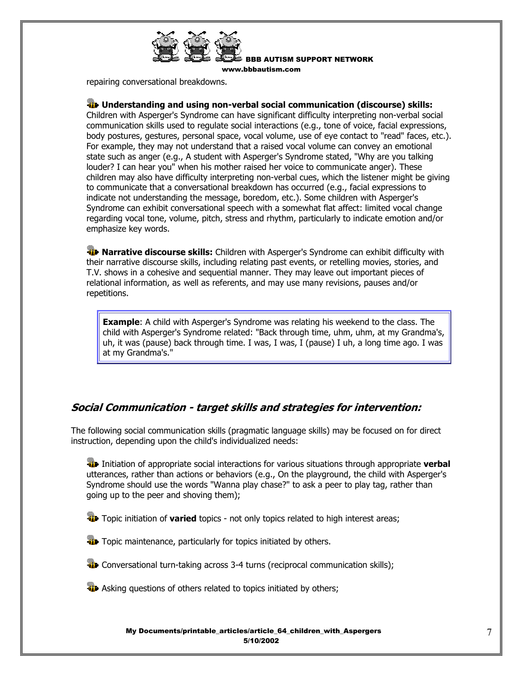

BBB AUTISM SUPPORT NETWORK

www.bbbautism.com

repairing conversational breakdowns.

### **Understanding and using non-verbal social communication (discourse) skills:**

Children with Asperger's Syndrome can have significant difficulty interpreting non-verbal social communication skills used to regulate social interactions (e.g., tone of voice, facial expressions, body postures, gestures, personal space, vocal volume, use of eye contact to "read" faces, etc.). For example, they may not understand that a raised vocal volume can convey an emotional state such as anger (e.g., A student with Asperger's Syndrome stated, "Why are you talking louder? I can hear you" when his mother raised her voice to communicate anger). These children may also have difficulty interpreting non-verbal cues, which the listener might be giving to communicate that a conversational breakdown has occurred (e.g., facial expressions to indicate not understanding the message, boredom, etc.). Some children with Asperger's Syndrome can exhibit conversational speech with a somewhat flat affect: limited vocal change regarding vocal tone, volume, pitch, stress and rhythm, particularly to indicate emotion and/or emphasize key words.

**W** Narrative discourse skills: Children with Asperger's Syndrome can exhibit difficulty with their narrative discourse skills, including relating past events, or retelling movies, stories, and T.V. shows in a cohesive and sequential manner. They may leave out important pieces of relational information, as well as referents, and may use many revisions, pauses and/or repetitions.

**Example**: A child with Asperger's Syndrome was relating his weekend to the class. The child with Asperger's Syndrome related: "Back through time, uhm, uhm, at my Grandma's, uh, it was (pause) back through time. I was, I was, I (pause) I uh, a long time ago. I was at my Grandma's."

### **Social Communication - target skills and strategies for intervention:**

The following social communication skills (pragmatic language skills) may be focused on for direct instruction, depending upon the child's individualized needs:

 Initiation of appropriate social interactions for various situations through appropriate **verbal** utterances, rather than actions or behaviors (e.g., On the playground, the child with Asperger's Syndrome should use the words "Wanna play chase?" to ask a peer to play tag, rather than going up to the peer and shoving them);

**The Topic initiation of varied** topics - not only topics related to high interest areas;

**T** Topic maintenance, particularly for topics initiated by others.

**T** Conversational turn-taking across 3-4 turns (reciprocal communication skills);

**Asking questions of others related to topics initiated by others;**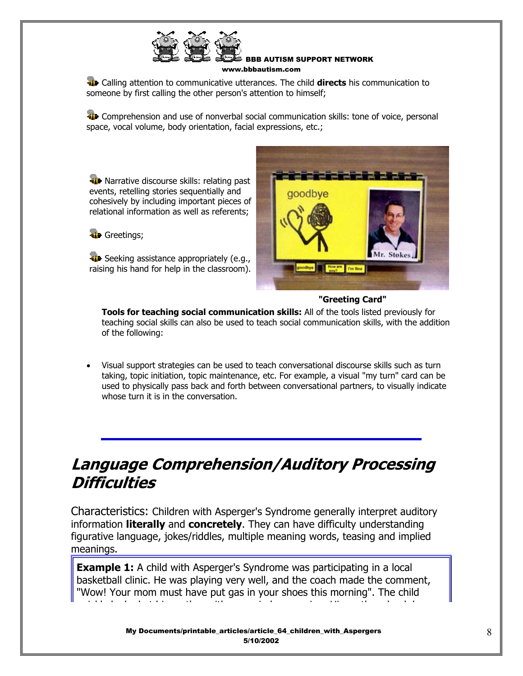

 Calling attention to communicative utterances. The child **directs** his communication to someone by first calling the other person's attention to himself;

**Comprehension and use of nonverbal social communication skills: tone of voice, personal** space, vocal volume, body orientation, facial expressions, etc.;

**W** Narrative discourse skills: relating past events, retelling stories sequentially and cohesively by including important pieces of relational information as well as referents;

**T** Greetings;

**Seeking assistance appropriately (e.g.,** raising his hand for help in the classroom).



### **"Greeting Card"**

**Tools for teaching social communication skills:** All of the tools listed previously for teaching social skills can also be used to teach social communication skills, with the addition of the following:

• Visual support strategies can be used to teach conversational discourse skills such as turn taking, topic initiation, topic maintenance, etc. For example, a visual "my turn" card can be used to physically pass back and forth between conversational partners, to visually indicate whose turn it is in the conversation.

# **Language Comprehension/Auditory Processing Difficulties**

Characteristics: Children with Asperger's Syndrome generally interpret auditory information **literally** and **concretely**. They can have difficulty understanding figurative language, jokes/riddles, multiple meaning words, teasing and implied meanings.

**Example 1:** A child with Asperger's Syndrome was participating in a local basketball clinic. He was playing very well, and the coach made the comment, "Wow! Your mom must have put gas in your shoes this morning". The child i kl l k d t hi th ith i d i Hi th h k h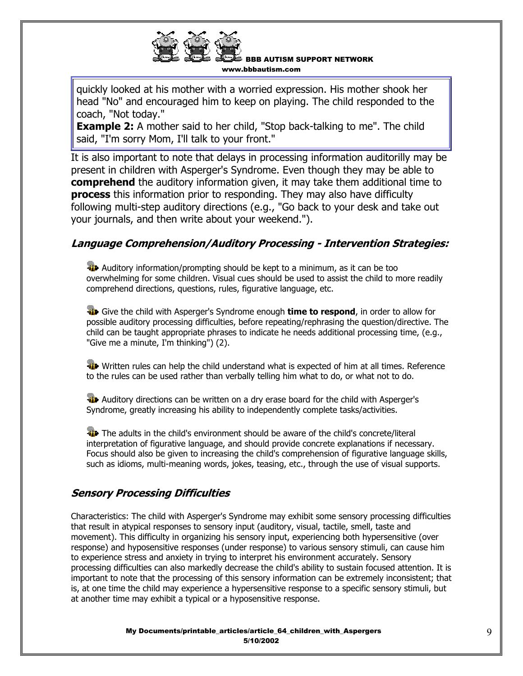quickly looked at his mother with a worried expression. His mother shook her head "No" and encouraged him to keep on playing. The child responded to the coach, "Not today."

**Example 2:** A mother said to her child, "Stop back-talking to me". The child said, "I'm sorry Mom, I'll talk to your front."

It is also important to note that delays in processing information auditorilly may be present in children with Asperger's Syndrome. Even though they may be able to **comprehend** the auditory information given, it may take them additional time to **process** this information prior to responding. They may also have difficulty following multi-step auditory directions (e.g., "Go back to your desk and take out your journals, and then write about your weekend.").

# **Language Comprehension/Auditory Processing - Intervention Strategies:**

**Auditory information/prompting should be kept to a minimum, as it can be too** overwhelming for some children. Visual cues should be used to assist the child to more readily comprehend directions, questions, rules, figurative language, etc.

 Give the child with Asperger's Syndrome enough **time to respond**, in order to allow for possible auditory processing difficulties, before repeating/rephrasing the question/directive. The child can be taught appropriate phrases to indicate he needs additional processing time, (e.g., "Give me a minute, I'm thinking") (2).

Written rules can help the child understand what is expected of him at all times. Reference to the rules can be used rather than verbally telling him what to do, or what not to do.

**Auditory directions can be written on a dry erase board for the child with Asperger's** Syndrome, greatly increasing his ability to independently complete tasks/activities.

The adults in the child's environment should be aware of the child's concrete/literal interpretation of figurative language, and should provide concrete explanations if necessary. Focus should also be given to increasing the child's comprehension of figurative language skills, such as idioms, multi-meaning words, jokes, teasing, etc., through the use of visual supports.

# **Sensory Processing Difficulties**

Characteristics: The child with Asperger's Syndrome may exhibit some sensory processing difficulties that result in atypical responses to sensory input (auditory, visual, tactile, smell, taste and movement). This difficulty in organizing his sensory input, experiencing both hypersensitive (over response) and hyposensitive responses (under response) to various sensory stimuli, can cause him to experience stress and anxiety in trying to interpret his environment accurately. Sensory processing difficulties can also markedly decrease the child's ability to sustain focused attention. It is important to note that the processing of this sensory information can be extremely inconsistent; that is, at one time the child may experience a hypersensitive response to a specific sensory stimuli, but at another time may exhibit a typical or a hyposensitive response.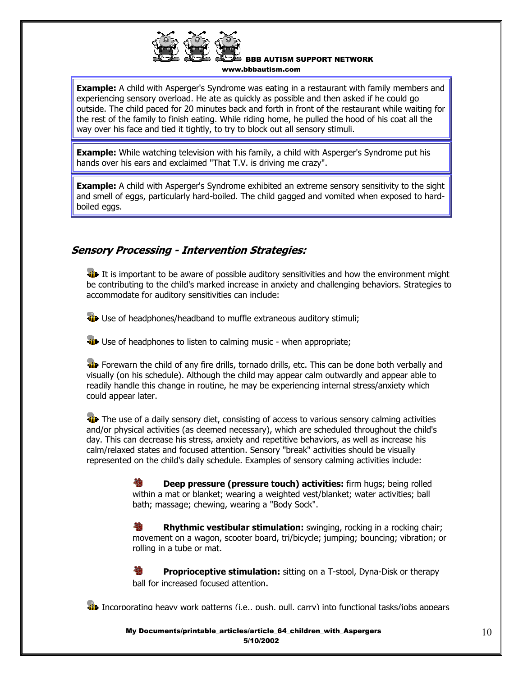

**Example:** A child with Asperger's Syndrome was eating in a restaurant with family members and experiencing sensory overload. He ate as quickly as possible and then asked if he could go outside. The child paced for 20 minutes back and forth in front of the restaurant while waiting for the rest of the family to finish eating. While riding home, he pulled the hood of his coat all the way over his face and tied it tightly, to try to block out all sensory stimuli.

**Example:** While watching television with his family, a child with Asperger's Syndrome put his hands over his ears and exclaimed "That T.V. is driving me crazy".

**Example:** A child with Asperger's Syndrome exhibited an extreme sensory sensitivity to the sight and smell of eggs, particularly hard-boiled. The child gagged and vomited when exposed to hardboiled eggs.

# **Sensory Processing - Intervention Strategies:**

It is important to be aware of possible auditory sensitivities and how the environment might be contributing to the child's marked increase in anxiety and challenging behaviors. Strategies to accommodate for auditory sensitivities can include:

**Use of headphones/headband to muffle extraneous auditory stimuli;** 

**Use of headphones to listen to calming music - when appropriate;** 

**Forewarn the child of any fire drills, tornado drills, etc. This can be done both verbally and** visually (on his schedule). Although the child may appear calm outwardly and appear able to readily handle this change in routine, he may be experiencing internal stress/anxiety which could appear later.

The use of a daily sensory diet, consisting of access to various sensory calming activities and/or physical activities (as deemed necessary), which are scheduled throughout the child's day. This can decrease his stress, anxiety and repetitive behaviors, as well as increase his calm/relaxed states and focused attention. Sensory "break" activities should be visually represented on the child's daily schedule. Examples of sensory calming activities include:

> **Deep pressure (pressure touch) activities:** firm hugs; being rolled 歌 within a mat or blanket; wearing a weighted vest/blanket; water activities; ball bath; massage; chewing, wearing a "Body Sock".

褹 **Rhythmic vestibular stimulation:** swinging, rocking in a rocking chair; movement on a wagon, scooter board, tri/bicycle; jumping; bouncing; vibration; or rolling in a tube or mat.

**Proprioceptive stimulation:** sitting on a T-stool, Dyna-Disk or therapy ball for increased focused attention.

**Informational dividence work patterns (i.e., push, pull, carry) into functional tasks/jobs appears**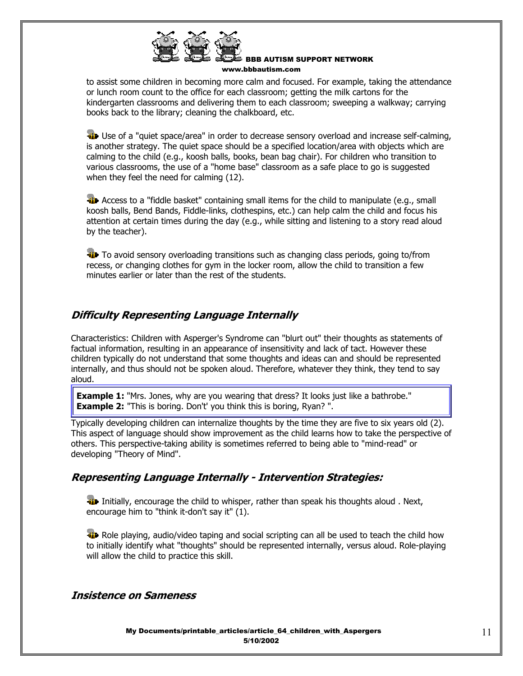

to assist some children in becoming more calm and focused. For example, taking the attendance or lunch room count to the office for each classroom; getting the milk cartons for the kindergarten classrooms and delivering them to each classroom; sweeping a walkway; carrying books back to the library; cleaning the chalkboard, etc.

**Use of a "quiet space/area" in order to decrease sensory overload and increase self-calming,** is another strategy. The quiet space should be a specified location/area with objects which are calming to the child (e.g., koosh balls, books, bean bag chair). For children who transition to various classrooms, the use of a "home base" classroom as a safe place to go is suggested when they feel the need for calming (12).

**Access to a "fiddle basket" containing small items for the child to manipulate (e.g., small** koosh balls, Bend Bands, Fiddle-links, clothespins, etc.) can help calm the child and focus his attention at certain times during the day (e.g., while sitting and listening to a story read aloud by the teacher).

**To** To avoid sensory overloading transitions such as changing class periods, going to/from recess, or changing clothes for gym in the locker room, allow the child to transition a few minutes earlier or later than the rest of the students.

### **Difficulty Representing Language Internally**

Characteristics: Children with Asperger's Syndrome can "blurt out" their thoughts as statements of factual information, resulting in an appearance of insensitivity and lack of tact. However these children typically do not understand that some thoughts and ideas can and should be represented internally, and thus should not be spoken aloud. Therefore, whatever they think, they tend to say aloud.

**Example 1:** "Mrs. Jones, why are you wearing that dress? It looks just like a bathrobe." **Example 2:** "This is boring. Don't' you think this is boring, Ryan?".

Typically developing children can internalize thoughts by the time they are five to six years old (2). This aspect of language should show improvement as the child learns how to take the perspective of others. This perspective-taking ability is sometimes referred to being able to "mind-read" or developing "Theory of Mind".

### **Representing Language Internally - Intervention Strategies:**

**I** Initially, encourage the child to whisper, rather than speak his thoughts aloud . Next, encourage him to "think it-don't say it" (1).

**Role playing, audio/video taping and social scripting can all be used to teach the child how** to initially identify what "thoughts" should be represented internally, versus aloud. Role-playing will allow the child to practice this skill.

### **Insistence on Sameness**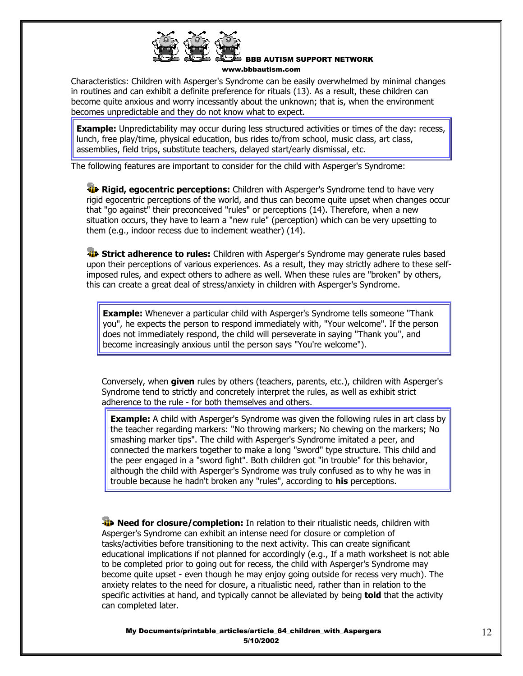

Characteristics: Children with Asperger's Syndrome can be easily overwhelmed by minimal changes in routines and can exhibit a definite preference for rituals (13). As a result, these children can become quite anxious and worry incessantly about the unknown; that is, when the environment becomes unpredictable and they do not know what to expect.

**Example:** Unpredictability may occur during less structured activities or times of the day: recess, lunch, free play/time, physical education, bus rides to/from school, music class, art class, assemblies, field trips, substitute teachers, delayed start/early dismissal, etc.

The following features are important to consider for the child with Asperger's Syndrome:

**Rigid, egocentric perceptions:** Children with Asperger's Syndrome tend to have very rigid egocentric perceptions of the world, and thus can become quite upset when changes occur that "go against" their preconceived "rules" or perceptions (14). Therefore, when a new situation occurs, they have to learn a "new rule" (perception) which can be very upsetting to them (e.g., indoor recess due to inclement weather) (14).

**Strict adherence to rules:** Children with Asperger's Syndrome may generate rules based upon their perceptions of various experiences. As a result, they may strictly adhere to these selfimposed rules, and expect others to adhere as well. When these rules are "broken" by others, this can create a great deal of stress/anxiety in children with Asperger's Syndrome.

**Example:** Whenever a particular child with Asperger's Syndrome tells someone "Thank you", he expects the person to respond immediately with, "Your welcome". If the person does not immediately respond, the child will perseverate in saying "Thank you", and become increasingly anxious until the person says "You're welcome").

Conversely, when **given** rules by others (teachers, parents, etc.), children with Asperger's Syndrome tend to strictly and concretely interpret the rules, as well as exhibit strict adherence to the rule - for both themselves and others.

**Example:** A child with Asperger's Syndrome was given the following rules in art class by the teacher regarding markers: "No throwing markers; No chewing on the markers; No smashing marker tips". The child with Asperger's Syndrome imitated a peer, and connected the markers together to make a long "sword" type structure. This child and the peer engaged in a "sword fight". Both children got "in trouble" for this behavior, although the child with Asperger's Syndrome was truly confused as to why he was in trouble because he hadn't broken any "rules", according to **his** perceptions.

**Need for closure/completion:** In relation to their ritualistic needs, children with Asperger's Syndrome can exhibit an intense need for closure or completion of tasks/activities before transitioning to the next activity. This can create significant educational implications if not planned for accordingly (e.g., If a math worksheet is not able to be completed prior to going out for recess, the child with Asperger's Syndrome may become quite upset - even though he may enjoy going outside for recess very much). The anxiety relates to the need for closure, a ritualistic need, rather than in relation to the specific activities at hand, and typically cannot be alleviated by being **told** that the activity can completed later.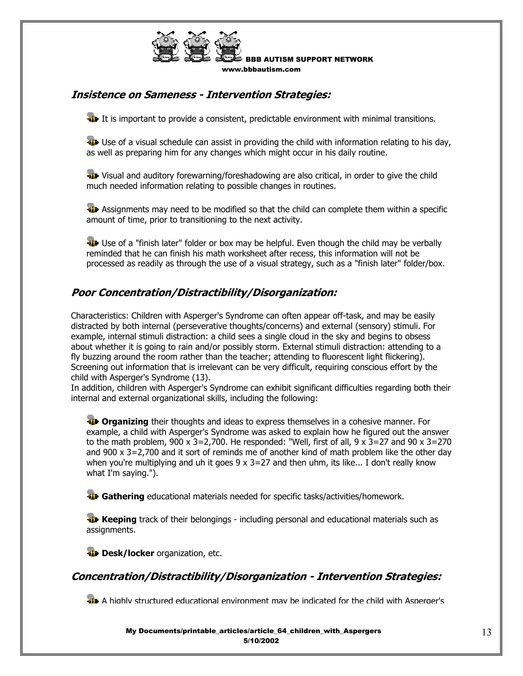

### **Insistence on Sameness - Intervention Strategies:**

**It is important to provide a consistent, predictable environment with minimal transitions.** 

 $\ddot{\mathbf{u}}$  Use of a visual schedule can assist in providing the child with information relating to his day, as well as preparing him for any changes which might occur in his daily routine.

**Wisual and auditory forewarning/foreshadowing are also critical, in order to give the child** much needed information relating to possible changes in routines.

**Assignments may need to be modified so that the child can complete them within a specific** amount of time, prior to transitioning to the next activity.

**Use of a "finish later" folder or box may be helpful. Even though the child may be verbally** reminded that he can finish his math worksheet after recess, this information will not be processed as readily as through the use of a visual strategy, such as a "finish later" folder/box.

### **Poor Concentration/Distractibility/Disorganization:**

Characteristics: Children with Asperger's Syndrome can often appear off-task, and may be easily distracted by both internal (perseverative thoughts/concerns) and external (sensory) stimuli. For example, internal stimuli distraction: a child sees a single cloud in the sky and begins to obsess about whether it is going to rain and/or possibly storm. External stimuli distraction: attending to a fly buzzing around the room rather than the teacher; attending to fluorescent light flickering). Screening out information that is irrelevant can be very difficult, requiring conscious effort by the child with Asperger's Syndrome (13).

In addition, children with Asperger's Syndrome can exhibit significant difficulties regarding both their internal and external organizational skills, including the following:

*I***P Organizing** their thoughts and ideas to express themselves in a cohesive manner. For example, a child with Asperger's Syndrome was asked to explain how he figured out the answer to the math problem, 900 x 3=2,700. He responded: "Well, first of all, 9 x 3=27 and 90 x 3=270 and 900 x 3=2,700 and it sort of reminds me of another kind of math problem like the other day when you're multiplying and uh it goes  $9 \times 3=27$  and then uhm, its like... I don't really know what I'm saying.").

**Gathering** educational materials needed for specific tasks/activities/homework.

**Keeping** track of their belongings - including personal and educational materials such as assignments.

*Desk/locker organization, etc.* 

### **Concentration/Distractibility/Disorganization - Intervention Strategies:**

**A** highly structured educational environment may be indicated for the child with Asperger's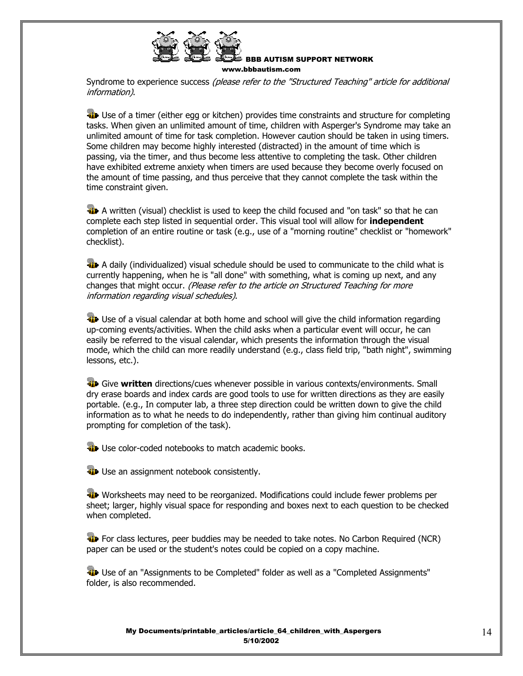

Syndrome to experience success (please refer to the "Structured Teaching" article for additional information).

**Use of a timer (either egg or kitchen) provides time constraints and structure for completing** tasks. When given an unlimited amount of time, children with Asperger's Syndrome may take an unlimited amount of time for task completion. However caution should be taken in using timers. Some children may become highly interested (distracted) in the amount of time which is passing, via the timer, and thus become less attentive to completing the task. Other children have exhibited extreme anxiety when timers are used because they become overly focused on the amount of time passing, and thus perceive that they cannot complete the task within the time constraint given.

 $\ddot{a}$  A written (visual) checklist is used to keep the child focused and "on task" so that he can complete each step listed in sequential order. This visual tool will allow for **independent** completion of an entire routine or task (e.g., use of a "morning routine" checklist or "homework" checklist).

**A** daily (individualized) visual schedule should be used to communicate to the child what is currently happening, when he is "all done" with something, what is coming up next, and any changes that might occur. (Please refer to the article on Structured Teaching for more information regarding visual schedules).

**Use of a visual calendar at both home and school will give the child information regarding** up-coming events/activities. When the child asks when a particular event will occur, he can easily be referred to the visual calendar, which presents the information through the visual mode, which the child can more readily understand (e.g., class field trip, "bath night", swimming lessons, etc.).

 Give **written** directions/cues whenever possible in various contexts/environments. Small dry erase boards and index cards are good tools to use for written directions as they are easily portable. (e.g., In computer lab, a three step direction could be written down to give the child information as to what he needs to do independently, rather than giving him continual auditory prompting for completion of the task).

**Use color-coded notebooks to match academic books.** 

**Use an assignment notebook consistently.** 

Worksheets may need to be reorganized. Modifications could include fewer problems per sheet; larger, highly visual space for responding and boxes next to each question to be checked when completed.

**For class lectures, peer buddies may be needed to take notes. No Carbon Required (NCR)** paper can be used or the student's notes could be copied on a copy machine.

**Use of an "Assignments to be Completed" folder as well as a "Completed Assignments"** folder, is also recommended.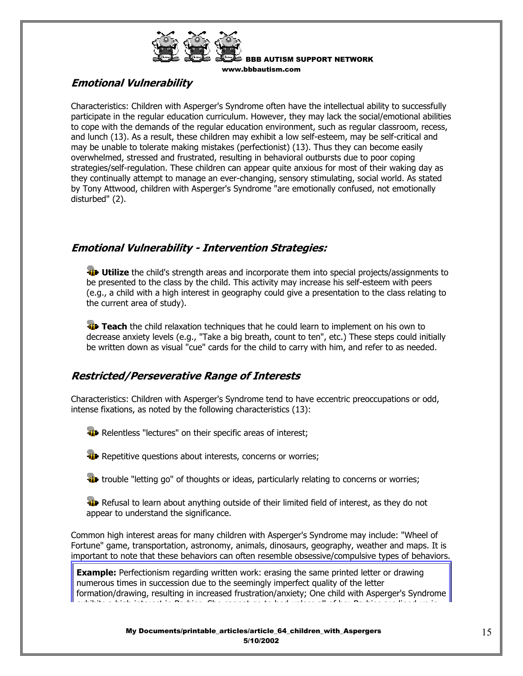

# **Emotional Vulnerability**

Characteristics: Children with Asperger's Syndrome often have the intellectual ability to successfully participate in the regular education curriculum. However, they may lack the social/emotional abilities to cope with the demands of the regular education environment, such as regular classroom, recess, and lunch (13). As a result, these children may exhibit a low self-esteem, may be self-critical and may be unable to tolerate making mistakes (perfectionist) (13). Thus they can become easily overwhelmed, stressed and frustrated, resulting in behavioral outbursts due to poor coping strategies/self-regulation. These children can appear quite anxious for most of their waking day as they continually attempt to manage an ever-changing, sensory stimulating, social world. As stated by Tony Attwood, children with Asperger's Syndrome "are emotionally confused, not emotionally disturbed" (2).

# **Emotional Vulnerability - Intervention Strategies:**

**Utilize** the child's strength areas and incorporate them into special projects/assignments to be presented to the class by the child. This activity may increase his self-esteem with peers (e.g., a child with a high interest in geography could give a presentation to the class relating to the current area of study).

**Teach** the child relaxation techniques that he could learn to implement on his own to decrease anxiety levels (e.g., "Take a big breath, count to ten", etc.) These steps could initially be written down as visual "cue" cards for the child to carry with him, and refer to as needed.

# **Restricted/Perseverative Range of Interests**

Characteristics: Children with Asperger's Syndrome tend to have eccentric preoccupations or odd, intense fixations, as noted by the following characteristics (13):

**Relentless "lectures" on their specific areas of interest;** 

**T** Repetitive questions about interests, concerns or worries;

**the** trouble "letting go" of thoughts or ideas, particularly relating to concerns or worries;

**W** Refusal to learn about anything outside of their limited field of interest, as they do not appear to understand the significance.

Common high interest areas for many children with Asperger's Syndrome may include: "Wheel of Fortune" game, transportation, astronomy, animals, dinosaurs, geography, weather and maps. It is important to note that these behaviors can often resemble obsessive/compulsive types of behaviors.

**Example:** Perfectionism regarding written work: erasing the same printed letter or drawing numerous times in succession due to the seemingly imperfect quality of the letter formation/drawing, resulting in increased frustration/anxiety; One child with Asperger's Syndrome exhibits a high interest in Barbies She cannot go to bed unless all of her Barbies are lined up in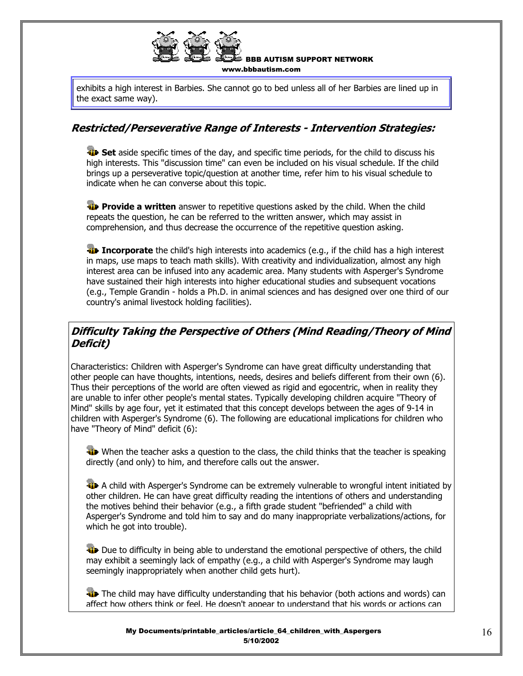

exhibits a high interest in Barbies. She cannot go to bed unless all of her Barbies are lined up in the exact same way).

### **Restricted/Perseverative Range of Interests - Intervention Strategies:**

**Set** aside specific times of the day, and specific time periods, for the child to discuss his high interests. This "discussion time" can even be included on his visual schedule. If the child brings up a perseverative topic/question at another time, refer him to his visual schedule to indicate when he can converse about this topic.

**Provide a written** answer to repetitive questions asked by the child. When the child repeats the question, he can be referred to the written answer, which may assist in comprehension, and thus decrease the occurrence of the repetitive question asking.

**Incorporate** the child's high interests into academics (e.g., if the child has a high interest in maps, use maps to teach math skills). With creativity and individualization, almost any high interest area can be infused into any academic area. Many students with Asperger's Syndrome have sustained their high interests into higher educational studies and subsequent vocations (e.g., Temple Grandin - holds a Ph.D. in animal sciences and has designed over one third of our country's animal livestock holding facilities).

# **Difficulty Taking the Perspective of Others (Mind Reading/Theory of Mind Deficit)**

Characteristics: Children with Asperger's Syndrome can have great difficulty understanding that other people can have thoughts, intentions, needs, desires and beliefs different from their own (6). Thus their perceptions of the world are often viewed as rigid and egocentric, when in reality they are unable to infer other people's mental states. Typically developing children acquire "Theory of Mind" skills by age four, yet it estimated that this concept develops between the ages of 9-14 in children with Asperger's Syndrome (6). The following are educational implications for children who have "Theory of Mind" deficit (6):

When the teacher asks a question to the class, the child thinks that the teacher is speaking directly (and only) to him, and therefore calls out the answer.

**A child with Asperger's Syndrome can be extremely vulnerable to wrongful intent initiated by** other children. He can have great difficulty reading the intentions of others and understanding the motives behind their behavior (e.g., a fifth grade student "befriended" a child with Asperger's Syndrome and told him to say and do many inappropriate verbalizations/actions, for which he got into trouble).

**EXECUTE:** Due to difficulty in being able to understand the emotional perspective of others, the child may exhibit a seemingly lack of empathy (e.g., a child with Asperger's Syndrome may laugh seemingly inappropriately when another child gets hurt).

**The child may have difficulty understanding that his behavior (both actions and words) can** affect how others think or feel. He doesn't appear to understand that his words or actions can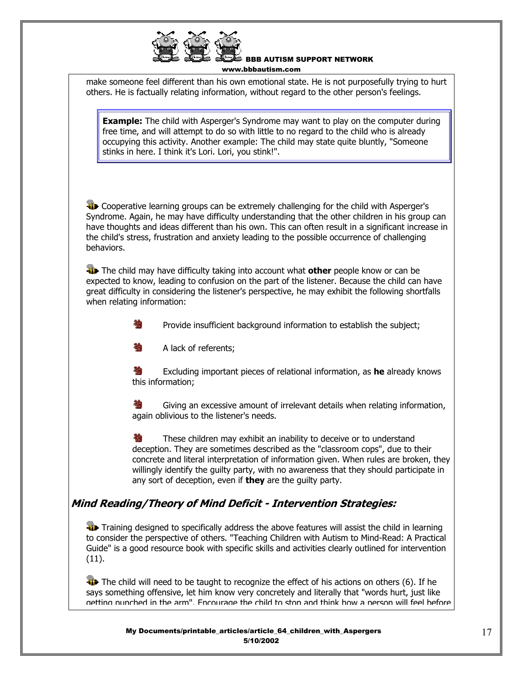

make someone feel different than his own emotional state. He is not purposefully trying to hurt others. He is factually relating information, without regard to the other person's feelings.

**Example:** The child with Asperger's Syndrome may want to play on the computer during free time, and will attempt to do so with little to no regard to the child who is already occupying this activity. Another example: The child may state quite bluntly, "Someone stinks in here. I think it's Lori. Lori, you stink!".

**T** Cooperative learning groups can be extremely challenging for the child with Asperger's Syndrome. Again, he may have difficulty understanding that the other children in his group can have thoughts and ideas different than his own. This can often result in a significant increase in the child's stress, frustration and anxiety leading to the possible occurrence of challenging behaviors.

 The child may have difficulty taking into account what **other** people know or can be expected to know, leading to confusion on the part of the listener. Because the child can have great difficulty in considering the listener's perspective, he may exhibit the following shortfalls when relating information:

**参** Provide insufficient background information to establish the subject;

**No. A lack of referents;** 

 Excluding important pieces of relational information, as **he** already knows this information;

**卷** Giving an excessive amount of irrelevant details when relating information, again oblivious to the listener's needs.

**W** These children may exhibit an inability to deceive or to understand deception. They are sometimes described as the "classroom cops", due to their concrete and literal interpretation of information given. When rules are broken, they willingly identify the guilty party, with no awareness that they should participate in any sort of deception, even if **they** are the guilty party.

# **Mind Reading/Theory of Mind Deficit - Intervention Strategies:**

**Training designed to specifically address the above features will assist the child in learning** to consider the perspective of others. "Teaching Children with Autism to Mind-Read: A Practical Guide" is a good resource book with specific skills and activities clearly outlined for intervention (11).

The child will need to be taught to recognize the effect of his actions on others (6). If he says something offensive, let him know very concretely and literally that "words hurt, just like getting punched in the arm". Encourage the child to stop and think how a person will feel before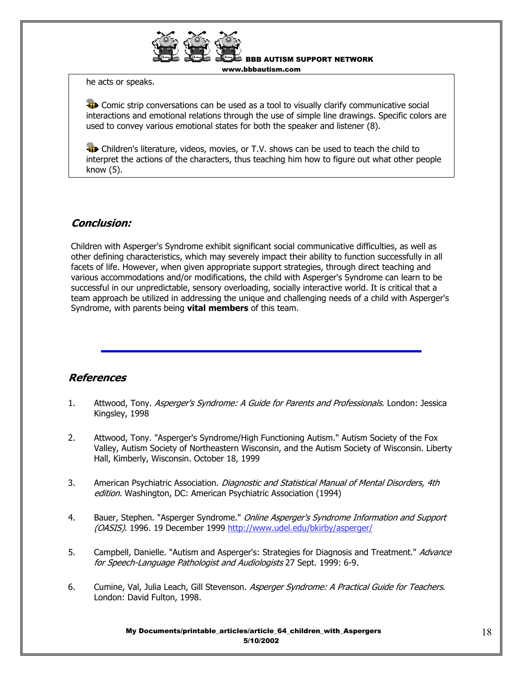

BBB AUTISM SUPPORT NETWORK

www.bbbautism.com

he acts or speaks.

**EXECOMIC STRIP CONVERGENTS COMPUTED AS A SET AS A TOO CONVERGENT COMPUTED** SOCIAL **THE CONVERGENTS** interactions and emotional relations through the use of simple line drawings. Specific colors are used to convey various emotional states for both the speaker and listener (8).

**Children's literature, videos, movies, or T.V. shows can be used to teach the child to** interpret the actions of the characters, thus teaching him how to figure out what other people know (5).

### **Conclusion:**

Children with Asperger's Syndrome exhibit significant social communicative difficulties, as well as other defining characteristics, which may severely impact their ability to function successfully in all facets of life. However, when given appropriate support strategies, through direct teaching and various accommodations and/or modifications, the child with Asperger's Syndrome can learn to be successful in our unpredictable, sensory overloading, socially interactive world. It is critical that a team approach be utilized in addressing the unique and challenging needs of a child with Asperger's Syndrome, with parents being **vital members** of this team.

### **References**

- 1. Attwood, Tony. Asperger's Syndrome: A Guide for Parents and Professionals. London: Jessica Kingsley, 1998
- 2. Attwood, Tony. "Asperger's Syndrome/High Functioning Autism." Autism Society of the Fox Valley, Autism Society of Northeastern Wisconsin, and the Autism Society of Wisconsin. Liberty Hall, Kimberly, Wisconsin. October 18, 1999
- 3. American Psychiatric Association. Diagnostic and Statistical Manual of Mental Disorders, 4th edition. Washington, DC: American Psychiatric Association (1994)
- 4. Bauer, Stephen. "Asperger Syndrome." *Online Asperger's Syndrome Information and Support* (OASIS). 1996. 19 December 1999 http://www.udel.edu/bkirby/asperger/
- 5. Campbell, Danielle. "Autism and Asperger's: Strategies for Diagnosis and Treatment." Advance for Speech-Language Pathologist and Audiologists 27 Sept. 1999: 6-9.
- 6. Cumine, Val, Julia Leach, Gill Stevenson. Asperger Syndrome: A Practical Guide for Teachers. London: David Fulton, 1998.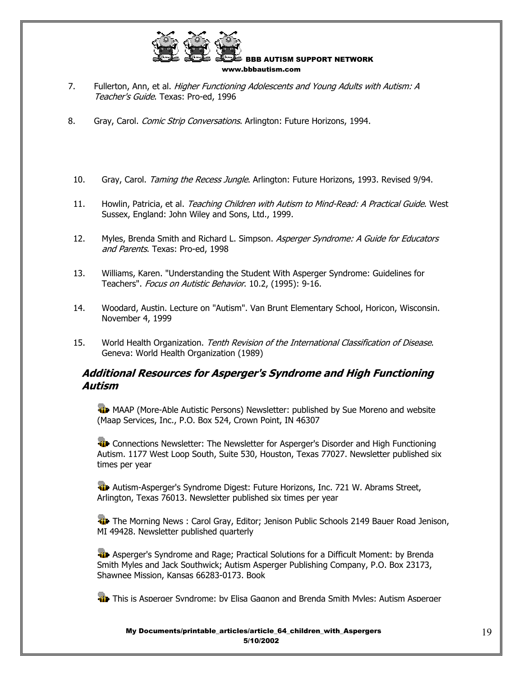

- 7. Fullerton, Ann, et al. Higher Functioning Adolescents and Young Adults with Autism: A Teacher's Guide. Texas: Pro-ed, 1996
- 8. Gray, Carol. Comic Strip Conversations. Arlington: Future Horizons, 1994.
- 10. Gray, Carol. Taming the Recess Jungle. Arlington: Future Horizons, 1993. Revised 9/94.
- 11. Howlin, Patricia, et al. Teaching Children with Autism to Mind-Read: A Practical Guide. West Sussex, England: John Wiley and Sons, Ltd., 1999.
- 12. Myles, Brenda Smith and Richard L. Simpson. Asperger Syndrome: A Guide for Educators and Parents. Texas: Pro-ed, 1998
- 13. Williams, Karen. "Understanding the Student With Asperger Syndrome: Guidelines for Teachers". Focus on Autistic Behavior. 10.2, (1995): 9-16.
- 14. Woodard, Austin. Lecture on "Autism". Van Brunt Elementary School, Horicon, Wisconsin. November 4, 1999
- 15. World Health Organization. Tenth Revision of the International Classification of Disease. Geneva: World Health Organization (1989)

### **Additional Resources for Asperger's Syndrome and High Functioning Autism**

**WE** MAAP (More-Able Autistic Persons) Newsletter: published by Sue Moreno and website (Maap Services, Inc., P.O. Box 524, Crown Point, IN 46307

**W** Connections Newsletter: The Newsletter for Asperger's Disorder and High Functioning Autism. 1177 West Loop South, Suite 530, Houston, Texas 77027. Newsletter published six times per year

**Autism-Asperger's Syndrome Digest: Future Horizons, Inc. 721 W. Abrams Street,** Arlington, Texas 76013. Newsletter published six times per year

**The Morning News : Carol Gray, Editor; Jenison Public Schools 2149 Bauer Road Jenison,** MI 49428. Newsletter published quarterly

**Asperger's Syndrome and Rage; Practical Solutions for a Difficult Moment: by Brenda** Smith Myles and Jack Southwick; Autism Asperger Publishing Company, P.O. Box 23173, Shawnee Mission, Kansas 66283-0173. Book

**The This is Asperger Syndrome: by Elisa Gagnon and Brenda Smith Myles: Autism Asperger**